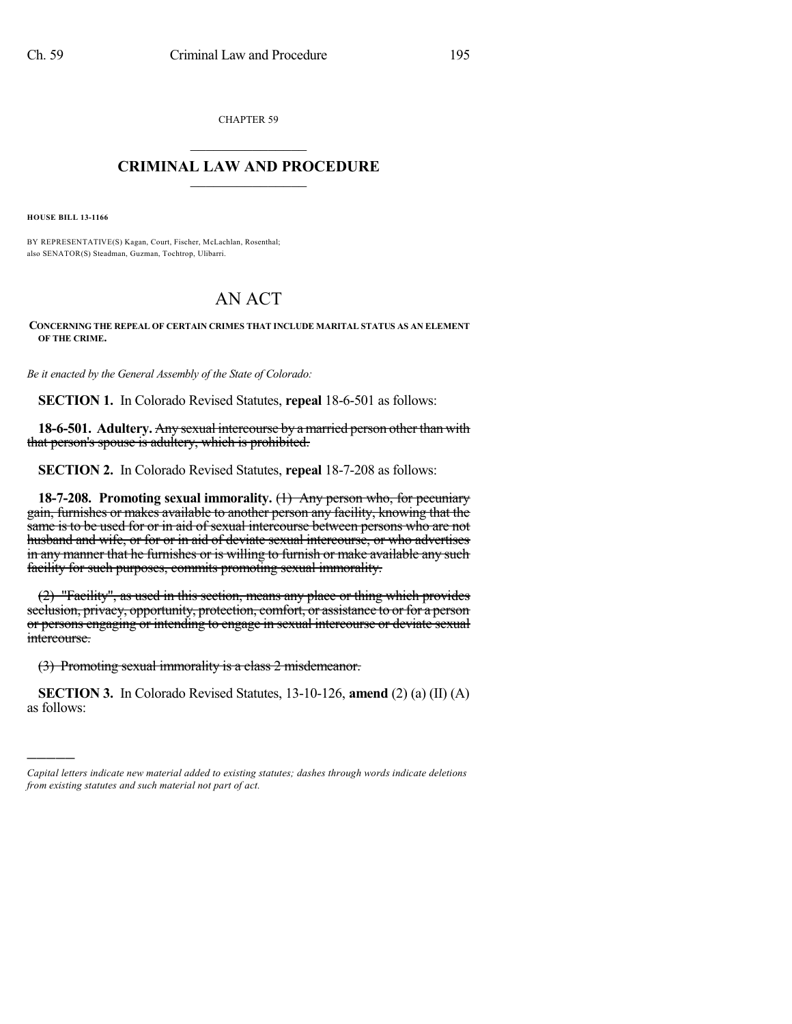CHAPTER 59

## $\overline{\phantom{a}}$  . The set of the set of the set of the set of the set of the set of the set of the set of the set of the set of the set of the set of the set of the set of the set of the set of the set of the set of the set o **CRIMINAL LAW AND PROCEDURE**  $\frac{1}{2}$  ,  $\frac{1}{2}$  ,  $\frac{1}{2}$  ,  $\frac{1}{2}$  ,  $\frac{1}{2}$  ,  $\frac{1}{2}$  ,  $\frac{1}{2}$

**HOUSE BILL 13-1166**

)))))

BY REPRESENTATIVE(S) Kagan, Court, Fischer, McLachlan, Rosenthal; also SENATOR(S) Steadman, Guzman, Tochtrop, Ulibarri.

## AN ACT

**CONCERNING THE REPEAL OF CERTAIN CRIMES THAT INCLUDE MARITAL STATUS AS AN ELEMENT OF THE CRIME.**

*Be it enacted by the General Assembly of the State of Colorado:*

**SECTION 1.** In Colorado Revised Statutes, **repeal** 18-6-501 as follows:

**18-6-501. Adultery.** Any sexual intercourse by a married person other than with that person's spouse is adultery, which is prohibited.

**SECTION 2.** In Colorado Revised Statutes, **repeal** 18-7-208 as follows:

**18-7-208. Promoting sexual immorality.** (1) Any person who, for pecuniary gain, furnishes or makes available to another person any facility, knowing that the same is to be used for or in aid of sexual intercourse between persons who are not husband and wife, or for or in aid of deviate sexual intercourse, or who advertises in any manner that he furnishes or is willing to furnish or make available any such facility for such purposes, commits promoting sexual immorality.

(2) "Facility", as used in this section, means any place or thing which provides seclusion, privacy, opportunity, protection, comfort, or assistance to or for a person or persons engaging or intending to engage in sexual intercourse or deviate sexual intercourse.

(3) Promoting sexual immorality is a class 2 misdemeanor.

**SECTION 3.** In Colorado Revised Statutes, 13-10-126, **amend** (2) (a) (II) (A) as follows:

*Capital letters indicate new material added to existing statutes; dashes through words indicate deletions from existing statutes and such material not part of act.*